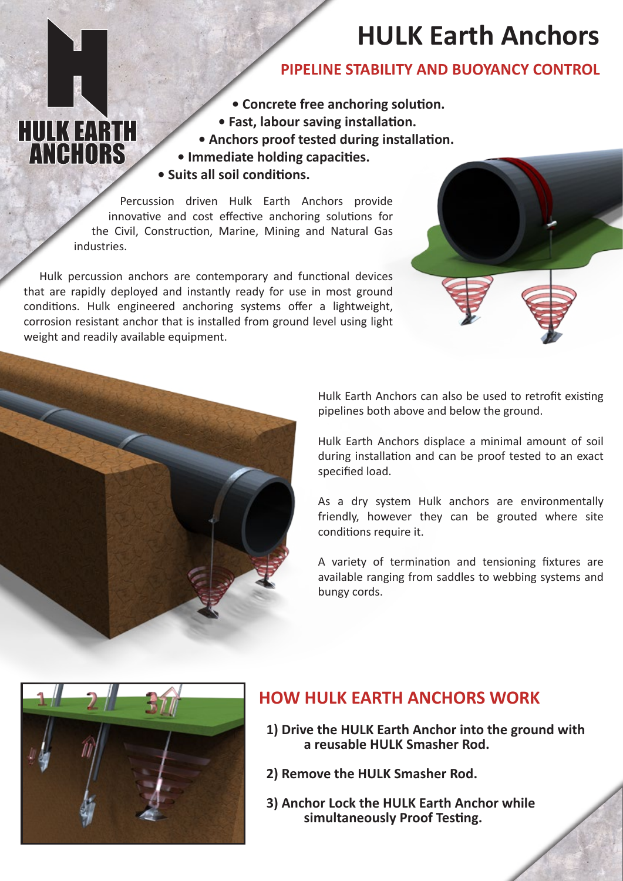# **HULK Earth Anchors**

## **PIPELINE STABILITY AND BUOYANCY CONTROL**

- **• Concrete free anchoring solution.**
- **• Fast, labour saving installation.**
- **• Anchors proof tested during installation.**
- **• Immediate holding capacities. • Suits all soil conditions.**

Percussion driven Hulk Earth Anchors provide innovative and cost effective anchoring solutions for the Civil, Construction, Marine, Mining and Natural Gas industries.

Hulk percussion anchors are contemporary and functional devices that are rapidly deployed and instantly ready for use in most ground conditions. Hulk engineered anchoring systems offer a lightweight, corrosion resistant anchor that is installed from ground level using light weight and readily available equipment.





**HULK EARTH**<br>**ANCHORS** 

Hulk Earth Anchors can also be used to retrofit existing pipelines both above and below the ground.

Hulk Earth Anchors displace a minimal amount of soil during installation and can be proof tested to an exact specified load.

As a dry system Hulk anchors are environmentally friendly, however they can be grouted where site conditions require it.

A variety of termination and tensioning fixtures are available ranging from saddles to webbing systems and bungy cords.



# **HOW HULK EARTH ANCHORS WORK**

- **1) Drive the HULK Earth Anchor into the ground with a reusable HULK Smasher Rod.**
- **2) Remove the HULK Smasher Rod.**
- **3) Anchor Lock the HULK Earth Anchor while simultaneously Proof Testing.**